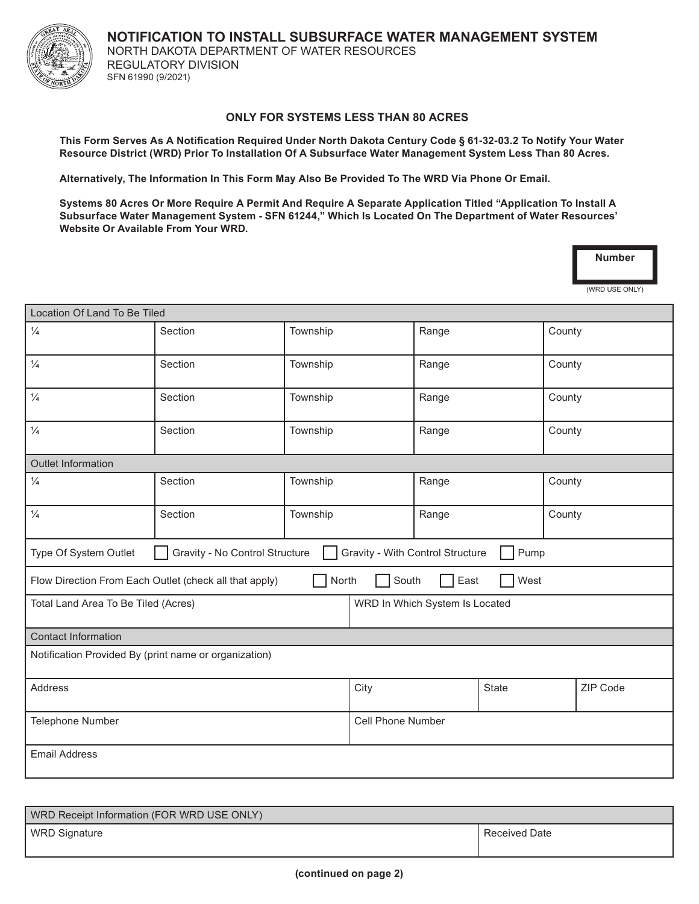NORTH DAKOTA DEPARTMENT OF WATER RESOURCES **NOTIFICATION TO INSTALL SUBSURFACE WATER MANAGEMENT SYSTEM** REGULATORY DIVISION SFN 61990 (9/2021)

## **ONLY FOR SYSTEMS LESS THAN 80 ACRES**

**This Form Serves As A Notification Required Under North Dakota Century Code § 61-32-03.2 To Notify Your Water Resource District (WRD) Prior To Installation Of A Subsurface Water Management System Less Than 80 Acres.**

**Alternatively, The Information In This Form May Also Be Provided To The WRD Via Phone Or Email.**

**Systems 80 Acres Or More Require A Permit And Require A Separate Application Titled "Application To Install A Subsurface Water Management System - SFN 61244," Which Is Located On The Department of Water Resources' Website Or Available From Your WRD.**

| <b>Number</b> |
|---------------|
|               |

(WRD USE ONLY)

| Location Of Land To Be Tiled                                                                        |         |          |                                |       |              |        |          |  |
|-----------------------------------------------------------------------------------------------------|---------|----------|--------------------------------|-------|--------------|--------|----------|--|
| $\frac{1}{4}$                                                                                       | Section | Township |                                | Range |              | County |          |  |
| $\frac{1}{4}$                                                                                       | Section | Township |                                | Range |              | County |          |  |
| $\frac{1}{4}$                                                                                       | Section | Township |                                | Range |              | County |          |  |
| $\frac{1}{4}$                                                                                       | Section | Township |                                | Range |              | County |          |  |
| <b>Outlet Information</b>                                                                           |         |          |                                |       |              |        |          |  |
| $\frac{1}{4}$                                                                                       | Section | Township |                                | Range |              | County |          |  |
| $\frac{1}{4}$                                                                                       | Section | Township |                                | Range |              | County |          |  |
| Gravity - With Control Structure<br>Pump<br>Type Of System Outlet<br>Gravity - No Control Structure |         |          |                                |       |              |        |          |  |
| South<br>North<br>East<br>West<br>Flow Direction From Each Outlet (check all that apply)            |         |          |                                |       |              |        |          |  |
| Total Land Area To Be Tiled (Acres)                                                                 |         |          | WRD In Which System Is Located |       |              |        |          |  |
| <b>Contact Information</b>                                                                          |         |          |                                |       |              |        |          |  |
| Notification Provided By (print name or organization)                                               |         |          |                                |       |              |        |          |  |
| Address                                                                                             |         |          | City                           |       | <b>State</b> |        | ZIP Code |  |
| Telephone Number                                                                                    |         |          | Cell Phone Number              |       |              |        |          |  |
| <b>Email Address</b>                                                                                |         |          |                                |       |              |        |          |  |

| WRD Receipt Information (FOR WRD USE ONLY) |               |  |  |  |  |
|--------------------------------------------|---------------|--|--|--|--|
| WRD Signature                              | Received Date |  |  |  |  |
|                                            |               |  |  |  |  |